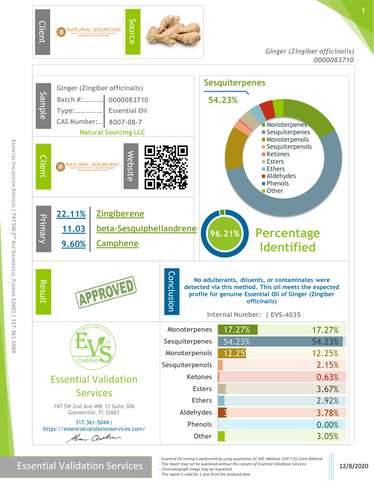

Essential Validation Services **12/8/2020** 

- *- Essential Oil testing is performed by using qualitative GC-MS. Method: SOP.T.01 Client Method*
- *- This report may not be published without the consent of Essential Validation Services.*
- *- Chromatograph image may be requested*
- *- This report is valid for 1 year from the analyzed date*

**1**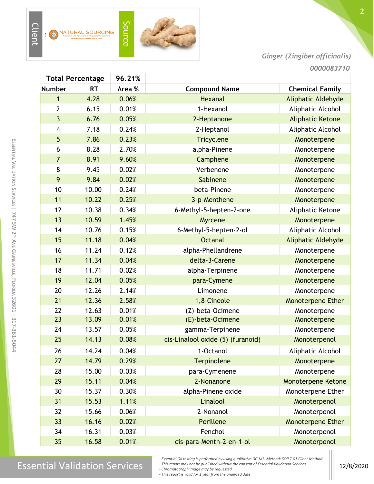

Source

*Ginger (Zingiber officinalis)*

| <b>Total Percentage</b> |                | 96.21%    |        |                                   |                           |
|-------------------------|----------------|-----------|--------|-----------------------------------|---------------------------|
|                         | <b>Number</b>  | <b>RT</b> | Area % | <b>Compound Name</b>              | <b>Chemical Family</b>    |
|                         | 1              | 4.28      | 0.06%  | <b>Hexanal</b>                    | <b>Aliphatic Aldehyde</b> |
|                         | $\overline{2}$ | 6.15      | 0.01%  | 1-Hexanol                         | Aliphatic Alcohol         |
|                         | 3              | 6.76      | 0.05%  | 2-Heptanone                       | <b>Aliphatic Ketone</b>   |
|                         | 4              | 7.18      | 0.24%  | 2-Heptanol                        | Aliphatic Alcohol         |
|                         | 5              | 7.86      | 0.23%  | <b>Tricyclene</b>                 | Monoterpene               |
|                         | 6              | 8.28      | 2.70%  | alpha-Pinene                      | Monoterpene               |
|                         | $\overline{7}$ | 8.91      | 9.60%  | Camphene                          | Monoterpene               |
|                         | 8              | 9.45      | 0.02%  | Verbenene                         | Monoterpene               |
|                         | 9              | 9.84      | 0.02%  | Sabinene                          | Monoterpene               |
|                         | 10             | 10.00     | 0.24%  | beta-Pinene                       | Monoterpene               |
|                         | 11             | 10.22     | 0.25%  | 3-p-Menthene                      | Monoterpene               |
|                         | 12             | 10.38     | 0.34%  | 6-Methyl-5-hepten-2-one           | Aliphatic Ketone          |
|                         | 13             | 10.59     | 1.45%  | Myrcene                           | Monoterpene               |
|                         | 14             | 10.76     | 0.15%  | 6-Methyl-5-hepten-2-ol            | Aliphatic Alcohol         |
|                         | 15             | 11.18     | 0.04%  | <b>Octanal</b>                    | Aliphatic Aldehyde        |
|                         | 16             | 11.24     | 0.12%  | alpha-Phellandrene                | Monoterpene               |
|                         | 17             | 11.34     | 0.04%  | delta-3-Carene                    | Monoterpene               |
|                         | 18             | 11.71     | 0.02%  | alpha-Terpinene                   | Monoterpene               |
|                         | 19             | 12.04     | 0.05%  | para-Cymene                       | Monoterpene               |
|                         | 20             | 12.26     | 2.14%  | Limonene                          | Monoterpene               |
|                         | 21             | 12.36     | 2.58%  | 1,8-Cineole                       | <b>Monoterpene Ether</b>  |
|                         | 22             | 12.63     | 0.01%  | (Z)-beta-Ocimene                  | Monoterpene               |
|                         | 23             | 13.09     | 0.01%  | (E)-beta-Ocimene                  | Monoterpene               |
|                         | 24             | 13.57     | 0.05%  | gamma-Terpinene                   | Monoterpene               |
|                         | 25             | 14.13     | 0.08%  | cis-Linalool oxide (5) (furanoid) | Monoterpenol              |
|                         | 26             | 14.24     | 0.04%  | 1-Octanol                         | Aliphatic Alcohol         |
|                         | 27             | 14.79     | 0.29%  | Terpinolene                       | Monoterpene               |
|                         | 28             | 15.00     | 0.03%  | para-Cymenene                     | Monoterpene               |
|                         | 29             | 15.11     | 0.04%  | 2-Nonanone                        | <b>Monoterpene Ketone</b> |
|                         | 30             | 15.37     | 0.30%  | alpha-Pinene oxide                | Monoterpene Ether         |
|                         | 31             | 15.53     | 1.11%  | Linalool                          | Monoterpenol              |
|                         | 32             | 15.66     | 0.06%  | 2-Nonanol                         | Monoterpenol              |
|                         | 33             | 16.16     | 0.02%  | Perillene                         | Monoterpene Ether         |
|                         | 34             | 16.31     | 0.03%  | Fenchol                           | Monoterpenol              |
|                         | 35             | 16.58     | 0.01%  | cis-para-Menth-2-en-1-ol          | Monoterpenol              |

## $\text{Essenity}$  are specifical valuation of the sample specifical valuation services specifical valuation services.

*- Essential Oil testing is performed by using qualitative GC-MS. Method: SOP.T.01 Client Method*

*- This report may not be published without the consent of Essential Validation Services. - Chromatograph image may be requested*

*- This report is valid for 1 year from the analyzed date*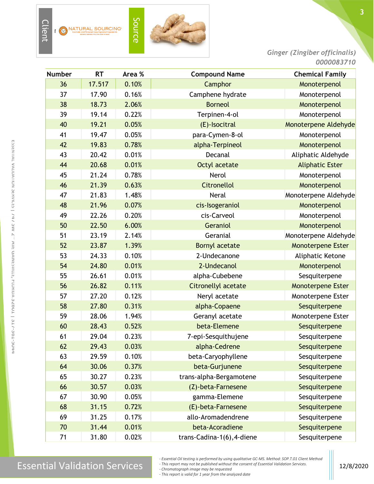

*Ginger (Zingiber officinalis) 0000083710*

| <b>Number</b> | <b>RT</b> | Area % | <b>Compound Name</b>       | <b>Chemical Family</b>   |
|---------------|-----------|--------|----------------------------|--------------------------|
| 36            | 17.517    | 0.10%  | Camphor                    | Monoterpenol             |
| 37            | 17.90     | 0.16%  | Camphene hydrate           | Monoterpenol             |
| 38            | 18.73     | 2.06%  | <b>Borneol</b>             | Monoterpenol             |
| 39            | 19.14     | 0.22%  | Terpinen-4-ol              | Monoterpenol             |
| 40            | 19.21     | 0.05%  | (E)-Isocitral              | Monoterpene Aldehyde     |
| 41            | 19.47     | 0.05%  | para-Cymen-8-ol            | Monoterpenol             |
| 42            | 19.83     | 0.78%  | alpha-Terpineol            | Monoterpenol             |
| 43            | 20.42     | 0.01%  | Decanal                    | Aliphatic Aldehyde       |
| 44            | 20.68     | 0.01%  | Octyl acetate              | <b>Aliphatic Ester</b>   |
| 45            | 21.24     | 0.78%  | Nerol                      | Monoterpenol             |
| 46            | 21.39     | 0.63%  | <b>Citronellol</b>         | Monoterpenol             |
| 47            | 21.83     | 1.48%  | <b>Neral</b>               | Monoterpene Aldehyde     |
| 48            | 21.96     | 0.07%  | cis-Isogeraniol            | Monoterpenol             |
| 49            | 22.26     | 0.20%  | cis-Carveol                | Monoterpenol             |
| 50            | 22.50     | 6.00%  | Geraniol                   | Monoterpenol             |
| 51            | 23.19     | 2.14%  | Geranial                   | Monoterpene Aldehyde     |
| 52            | 23.87     | 1.39%  | <b>Bornyl acetate</b>      | <b>Monoterpene Ester</b> |
| 53            | 24.33     | 0.10%  | 2-Undecanone               | Aliphatic Ketone         |
| 54            | 24.80     | 0.01%  | 2-Undecanol                | Monoterpenol             |
| 55            | 26.61     | 0.01%  | alpha-Cubebene             | Sesquiterpene            |
| 56            | 26.82     | 0.11%  | <b>Citronellyl acetate</b> | <b>Monoterpene Ester</b> |
| 57            | 27.20     | 0.12%  | Neryl acetate              | Monoterpene Ester        |
| 58            | 27.80     | 0.31%  | alpha-Copaene              | Sesquiterpene            |
| 59            | 28.06     | 1.94%  | Geranyl acetate            | Monoterpene Ester        |
| 60            | 28.43     | 0.52%  | beta-Elemene               | Sesquiterpene            |
| 61            | 29.04     | 0.23%  | 7-epi-Sesquithujene        | Sesquiterpene            |
| 62            | 29.43     | 0.03%  | alpha-Cedrene              | Sesquiterpene            |
| 63            | 29.59     | 0.10%  | beta-Caryophyllene         | Sesquiterpene            |
| 64            | 30.06     | 0.37%  | beta-Gurjunene             | Sesquiterpene            |
| 65            | 30.27     | 0.23%  | trans-alpha-Bergamotene    | Sesquiterpene            |
| 66            | 30.57     | 0.03%  | (Z)-beta-Farnesene         | Sesquiterpene            |
| 67            | 30.90     | 0.05%  | gamma-Elemene              | Sesquiterpene            |
| 68            | 31.15     | 0.72%  | (E)-beta-Farnesene         | Sesquiterpene            |
| 69            | 31.25     | 0.17%  | allo-Aromadendrene         | Sesquiterpene            |
| 70            | 31.44     | 0.01%  | beta-Acoradiene            | Sesquiterpene            |
| 71            | 31.80     | 0.02%  | trans-Cadina-1(6), 4-diene | Sesquiterpene            |

E

*- Essential Oil testing is performed by using qualitative GC-MS. Method: SOP.T.01 Client Method*

*- This report may not be published without the consent of Essential Validation Services.*

*- Chromatograph image may be requested*

*- This report is valid for 1 year from the analyzed date*